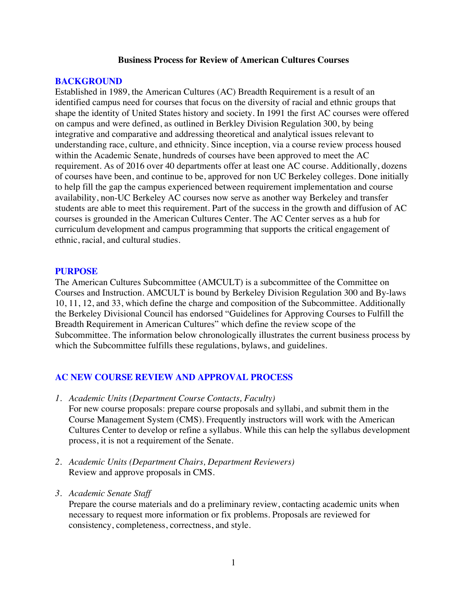#### **Business Process for Review of American Cultures Courses**

#### **BACKGROUND**

Established in 1989, the American Cultures (AC) Breadth Requirement is a result of an identified campus need for courses that focus on the diversity of racial and ethnic groups that shape the identity of United States history and society. In 1991 the first AC courses were offered on campus and were defined, as outlined in Berkley Division Regulation 300, by being integrative and comparative and addressing theoretical and analytical issues relevant to understanding race, culture, and ethnicity. Since inception, via a course review process housed within the Academic Senate, hundreds of courses have been approved to meet the AC requirement. As of 2016 over 40 departments offer at least one AC course. Additionally, dozens of courses have been, and continue to be, approved for non UC Berkeley colleges. Done initially to help fill the gap the campus experienced between requirement implementation and course availability, non-UC Berkeley AC courses now serve as another way Berkeley and transfer students are able to meet this requirement. Part of the success in the growth and diffusion of AC courses is grounded in the American Cultures Center. The AC Center serves as a hub for curriculum development and campus programming that supports the critical engagement of ethnic, racial, and cultural studies.

#### **PURPOSE**

The American Cultures Subcommittee (AMCULT) is a subcommittee of the Committee on Courses and Instruction. AMCULT is bound by Berkeley Division Regulation 300 and By-laws 10, 11, 12, and 33, which define the charge and composition of the Subcommittee. Additionally the Berkeley Divisional Council has endorsed "Guidelines for Approving Courses to Fulfill the Breadth Requirement in American Cultures" which define the review scope of the Subcommittee. The information below chronologically illustrates the current business process by which the Subcommittee fulfills these regulations, bylaws, and guidelines.

#### **AC NEW COURSE REVIEW AND APPROVAL PROCESS**

*1. Academic Units (Department Course Contacts, Faculty)*

For new course proposals: prepare course proposals and syllabi, and submit them in the Course Management System (CMS). Frequently instructors will work with the American Cultures Center to develop or refine a syllabus. While this can help the syllabus development process, it is not a requirement of the Senate.

- *2. Academic Units (Department Chairs, Department Reviewers)* Review and approve proposals in CMS.
- *3. Academic Senate Staff*

Prepare the course materials and do a preliminary review, contacting academic units when necessary to request more information or fix problems. Proposals are reviewed for consistency, completeness, correctness, and style.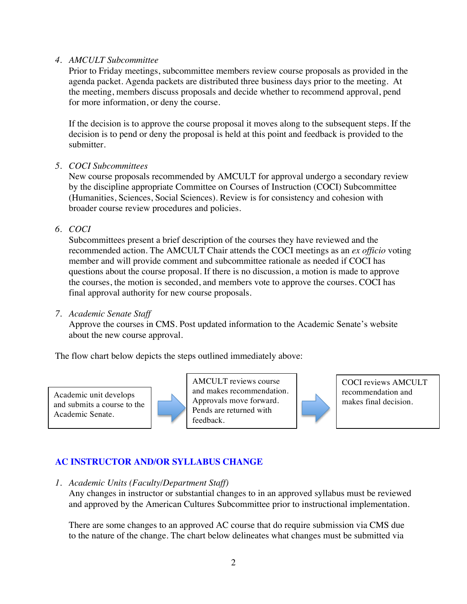#### *4. AMCULT Subcommittee*

Prior to Friday meetings, subcommittee members review course proposals as provided in the agenda packet. Agenda packets are distributed three business days prior to the meeting. At the meeting, members discuss proposals and decide whether to recommend approval, pend for more information, or deny the course.

If the decision is to approve the course proposal it moves along to the subsequent steps. If the decision is to pend or deny the proposal is held at this point and feedback is provided to the submitter.

#### *5. COCI Subcommittees*

New course proposals recommended by AMCULT for approval undergo a secondary review by the discipline appropriate Committee on Courses of Instruction (COCI) Subcommittee (Humanities, Sciences, Social Sciences). Review is for consistency and cohesion with broader course review procedures and policies.

*6. COCI*

Subcommittees present a brief description of the courses they have reviewed and the recommended action. The AMCULT Chair attends the COCI meetings as an *ex officio* voting member and will provide comment and subcommittee rationale as needed if COCI has questions about the course proposal. If there is no discussion, a motion is made to approve the courses, the motion is seconded, and members vote to approve the courses. COCI has final approval authority for new course proposals.

#### *7. Academic Senate Staff*

Approve the courses in CMS. Post updated information to the Academic Senate's website about the new course approval.

The flow chart below depicts the steps outlined immediately above:

Academic unit develops and submits a course to the Academic Senate.



AMCULT reviews course and makes recommendation. Approvals move forward. Pends are returned with feedback.

COCI reviews AMCULT recommendation and makes final decision.

# **AC INSTRUCTOR AND/OR SYLLABUS CHANGE**

*1. Academic Units (Faculty/Department Staff)*

Any changes in instructor or substantial changes to in an approved syllabus must be reviewed and approved by the American Cultures Subcommittee prior to instructional implementation.

There are some changes to an approved AC course that do require submission via CMS due to the nature of the change. The chart below delineates what changes must be submitted via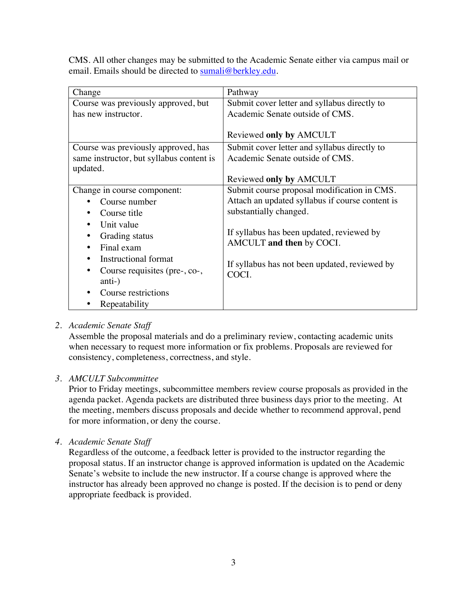CMS. All other changes may be submitted to the Academic Senate either via campus mail or email. Emails should be directed to sumali@berkley.edu.

| Change                                   | Pathway                                         |
|------------------------------------------|-------------------------------------------------|
| Course was previously approved, but      | Submit cover letter and syllabus directly to    |
| has new instructor.                      | Academic Senate outside of CMS.                 |
|                                          |                                                 |
|                                          | Reviewed only by AMCULT                         |
| Course was previously approved, has      | Submit cover letter and syllabus directly to    |
| same instructor, but syllabus content is | Academic Senate outside of CMS.                 |
| updated.                                 |                                                 |
|                                          | Reviewed only by AMCULT                         |
| Change in course component:              | Submit course proposal modification in CMS.     |
| Course number                            | Attach an updated syllabus if course content is |
| Course title                             | substantially changed.                          |
| Unit value                               |                                                 |
| Grading status                           | If syllabus has been updated, reviewed by       |
| Final exam                               | AMCULT and then by COCI.                        |
| Instructional format                     |                                                 |
| Course requisites (pre-, co-,            | If syllabus has not been updated, reviewed by   |
| anti-)                                   | COCI.                                           |
| Course restrictions                      |                                                 |
| Repeatability                            |                                                 |

# *2. Academic Senate Staff*

Assemble the proposal materials and do a preliminary review, contacting academic units when necessary to request more information or fix problems. Proposals are reviewed for consistency, completeness, correctness, and style.

# *3. AMCULT Subcommittee*

Prior to Friday meetings, subcommittee members review course proposals as provided in the agenda packet. Agenda packets are distributed three business days prior to the meeting. At the meeting, members discuss proposals and decide whether to recommend approval, pend for more information, or deny the course.

*4. Academic Senate Staff*

Regardless of the outcome, a feedback letter is provided to the instructor regarding the proposal status. If an instructor change is approved information is updated on the Academic Senate's website to include the new instructor. If a course change is approved where the instructor has already been approved no change is posted. If the decision is to pend or deny appropriate feedback is provided.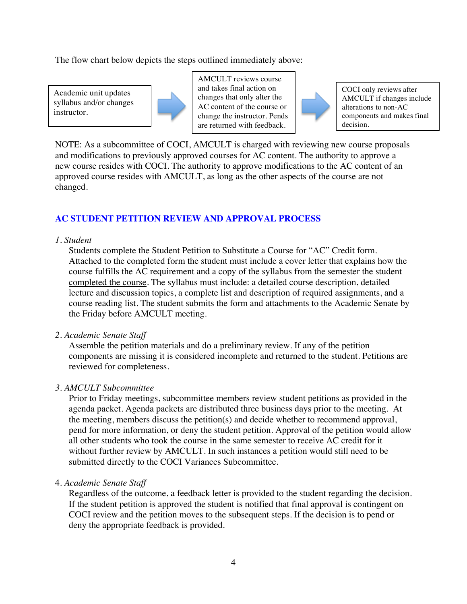The flow chart below depicts the steps outlined immediately above:

Academic unit updates syllabus and/or changes instructor.



AMCULT reviews course and takes final action on changes that only alter the AC content of the course or change the instructor. Pends are returned with feedback.



COCI only reviews after AMCULT if changes include alterations to non-AC components and makes final decision.

NOTE: As a subcommittee of COCI, AMCULT is charged with reviewing new course proposals and modifications to previously approved courses for AC content. The authority to approve a new course resides with COCI. The authority to approve modifications to the AC content of an approved course resides with AMCULT, as long as the other aspects of the course are not changed.

# **AC STUDENT PETITION REVIEW AND APPROVAL PROCESS**

# *1. Student*

Students complete the Student Petition to Substitute a Course for "AC" Credit form. Attached to the completed form the student must include a cover letter that explains how the course fulfills the AC requirement and a copy of the syllabus from the semester the student completed the course. The syllabus must include: a detailed course description, detailed lecture and discussion topics, a complete list and description of required assignments, and a course reading list. The student submits the form and attachments to the Academic Senate by the Friday before AMCULT meeting.

# *2. Academic Senate Staff*

Assemble the petition materials and do a preliminary review. If any of the petition components are missing it is considered incomplete and returned to the student. Petitions are reviewed for completeness.

# *3. AMCULT Subcommittee*

Prior to Friday meetings, subcommittee members review student petitions as provided in the agenda packet. Agenda packets are distributed three business days prior to the meeting. At the meeting, members discuss the petition(s) and decide whether to recommend approval, pend for more information, or deny the student petition. Approval of the petition would allow all other students who took the course in the same semester to receive AC credit for it without further review by AMCULT. In such instances a petition would still need to be submitted directly to the COCI Variances Subcommittee.

# 4. *Academic Senate Staff*

Regardless of the outcome, a feedback letter is provided to the student regarding the decision. If the student petition is approved the student is notified that final approval is contingent on COCI review and the petition moves to the subsequent steps. If the decision is to pend or deny the appropriate feedback is provided.